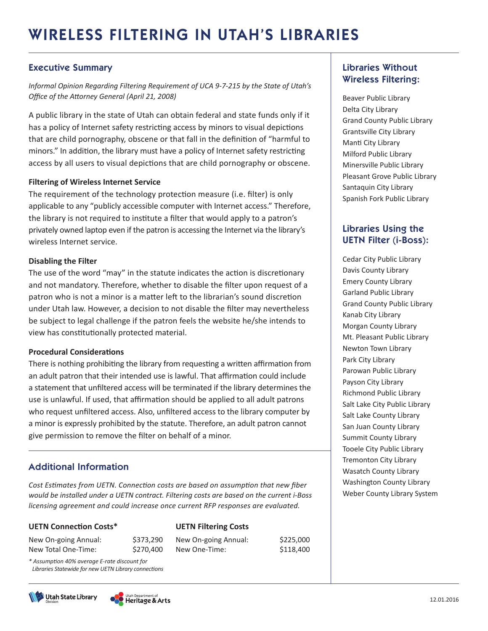#### Executive Summary

*Informal Opinion Regarding Filtering Requirement of UCA 9-7-215 by the State of Utah's Office of the Attorney General (April 21, 2008)*

A public library in the state of Utah can obtain federal and state funds only if it has a policy of Internet safety restricting access by minors to visual depictions that are child pornography, obscene or that fall in the definition of "harmful to minors." In addition, the library must have a policy of Internet safety restricting access by all users to visual depictions that are child pornography or obscene.

#### **Filtering of Wireless Internet Service**

The requirement of the technology protection measure (i.e. filter) is only applicable to any "publicly accessible computer with Internet access." Therefore, the library is not required to institute a filter that would apply to a patron's privately owned laptop even if the patron is accessing the Internet via the library's wireless Internet service.

#### **Disabling the Filter**

The use of the word "may" in the statute indicates the action is discretionary and not mandatory. Therefore, whether to disable the filter upon request of a patron who is not a minor is a matter left to the librarian's sound discretion under Utah law. However, a decision to not disable the filter may nevertheless be subject to legal challenge if the patron feels the website he/she intends to view has constitutionally protected material.

#### **Procedural Considerations**

There is nothing prohibiting the library from requesting a written affirmation from an adult patron that their intended use is lawful. That affirmation could include a statement that unfiltered access will be terminated if the library determines the use is unlawful. If used, that affirmation should be applied to all adult patrons who request unfiltered access. Also, unfiltered access to the library computer by a minor is expressly prohibited by the statute. Therefore, an adult patron cannot give permission to remove the filter on behalf of a minor.

#### Additional Information

*Cost Estimates from UETN. Connection costs are based on assumption that new fiber would be installed under a UETN contract. Filtering costs are based on the current i-Boss licensing agreement and could increase once current RFP responses are evaluated.* 

**UETN Filtering Costs**

New On-going Annual: \$225,000 New One-Time: \$118,400

#### **UETN Connection Costs\***

| New On-going Annual: |  |
|----------------------|--|
| New Total One-Time:  |  |

*\* Assumption 40% average E-rate discount for Libraries Statewide for new UETN Library connections*





 $$373,290$ \$270,400

#### Libraries Without Wireless Filtering:

Beaver Public Library Delta City Library Grand County Public Library Grantsville City Library Manti City Library Milford Public Library Minersville Public Library Pleasant Grove Public Library Santaquin City Library Spanish Fork Public Library

### Libraries Using the UETN Filter (i-Boss):

Cedar City Public Library Davis County Library Emery County Library Garland Public Library Grand County Public Library Kanab City Library Morgan County Library Mt. Pleasant Public Library Newton Town Library Park City Library Parowan Public Library Payson City Library Richmond Public Library Salt Lake City Public Library Salt Lake County Library San Juan County Library Summit County Library Tooele City Public Library Tremonton City Library Wasatch County Library Washington County Library Weber County Library System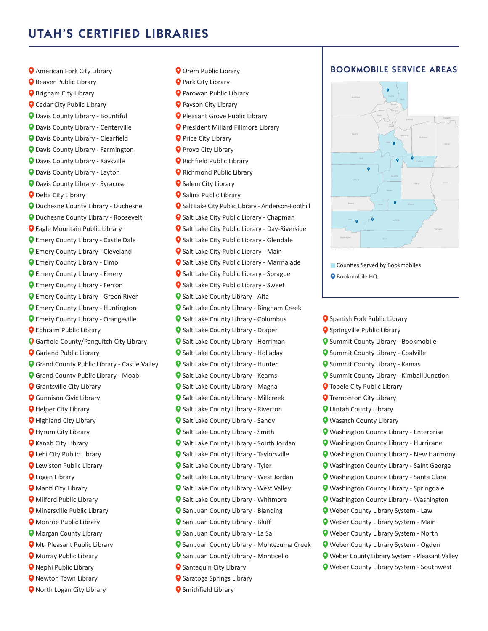## UTAH'S CERTIFIED LIBRARIES

- **O** Beaver Public Library **O** Brigham City Library **Q** Cedar City Public Library Davis County Library - Bountiful Davis County Library - Centerville Davis County Library - Clearfield Davis County Library - Farmington Davis County Library - Kaysville Davis County Library - Layton Davis County Library - Syracuse **O** Delta City Library Duchesne County Library - Duchesne Duchesne County Library - Roosevelt Eagle Mountain Public Library Emery County Library - Castle Dale Emery County Library - Cleveland Emery County Library - Elmo Emery County Library - Emery Emery County Library - Ferron Emery County Library - Green River Emery County Library - Huntington Emery County Library - Orangeville Ephraim Public Library Garfield County/Panguitch City Library Garland Public Library Grand County Public Library - Castle Valley Grand County Public Library - Moab Grantsville City Library Gunnison Civic Library **Q** Helper City Library **Q** Highland City Library **Q** Hyrum City Library Kanab City Library Lehi City Public Library **Q** Lewiston Public Library **Q** Logan Library **O** Manti City Library Milford Public Library **O** Minersville Public Library Monroe Public Library **Q** Morgan County Library **O** Mt. Pleasant Public Library **O** Murray Public Library Nephi Public Library **O** Newton Town Library **Q** North Logan City Library
- **O** American Fork City Library **CODIC CONTACT AREAS BOOKMOBILE SERVICE AREAS Q** Orem Public Library **Q** Park City Library Parowan Public Library **Q** Payson City Library **O** Pleasant Grove Public Library President Millard Fillmore Library **Q** Price City Library **Q** Provo City Library **Q** Richfield Public Library **Q** Richmond Public Library **O** Salem City Library **Q** Salina Public Library **O** Salt Lake City Public Library - Anderson-Foothill **Q** Salt Lake City Public Library - Chapman **Q** Salt Lake City Public Library - Day-Riverside **Q** Salt Lake City Public Library - Glendale **Q** Salt Lake City Public Library - Main **Q** Salt Lake City Public Library - Marmalade **Q** Salt Lake City Public Library - Sprague **O** Salt Lake City Public Library - Sweet **Q** Salt Lake County Library - Alta **O** Salt Lake County Library - Bingham Creek **O** Salt Lake County Library - Columbus **O** Salt Lake County Library - Draper **Q** Salt Lake County Library - Herriman **O** Salt Lake County Library - Holladay **O** Salt Lake County Library - Hunter **Q** Salt Lake County Library - Kearns **Q** Salt Lake County Library - Magna **Q** Salt Lake County Library - Millcreek **Q** Salt Lake County Library - Riverton **Q** Salt Lake County Library - Sandy **Q** Salt Lake County Library - Smith **Q** Salt Lake County Library - South Jordan **O** Salt Lake County Library - Taylorsville **O** Salt Lake County Library - Tyler **O** Salt Lake County Library - West Jordan **O** Salt Lake County Library - West Valley **Q** Salt Lake County Library - Whitmore **Q** San Juan County Library - Blanding **Q** San Juan County Library - Bluff San Juan County Library - La Sal **O** San Juan County Library - Montezuma Creek **Q** San Juan County Library - Monticello **O** Santaquin City Library **Q** Saratoga Springs Library **O** Smithfield Library



**Counties Served by Bookmobiles O** Bookmobile HQ

**Q** Spanish Fork Public Library **O** Springville Public Library Summit County Library - Bookmobile Summit County Library - Coalville **O** Summit County Library - Kamas **O** Summit County Library - Kimball Junction **Q** Tooele City Public Library **Q** Tremonton City Library Uintah County Library Wasatch County Library Washington County Library - Enterprise Washington County Library - Hurricane Washington County Library - New Harmony Washington County Library - Saint George Washington County Library - Santa Clara Washington County Library - Springdale Washington County Library - Washington Weber County Library System - Law Weber County Library System - Main Weber County Library System - North Weber County Library System - Ogden Weber County Library System - Pleasant Valley Weber County Library System - Southwest